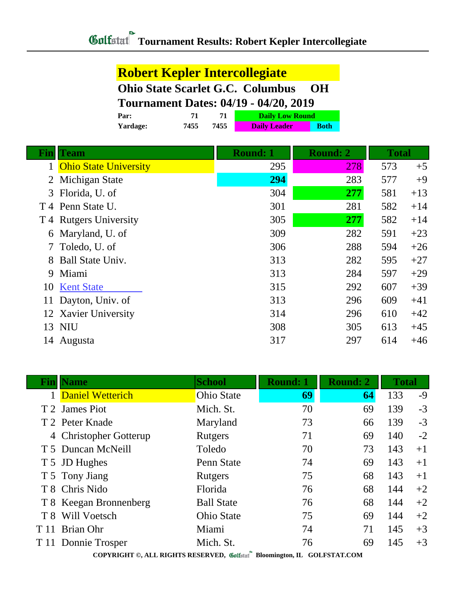## **Robert Kepler Intercollegiate Ohio State Scarlet G.C. Columbus OH Tournament Dates: 04/19 - 04/20, 2019**

| Par:     |      |      | <b>Daily Low Round</b> |      |  |
|----------|------|------|------------------------|------|--|
| Yardage: | 7455 | 7455 | <b>Daily Leader</b>    | Both |  |
|          |      |      |                        |      |  |

| Fin | <b>Team</b>                  | <b>Round: 1</b> | <b>Round: 2</b> | <b>Total</b> |       |
|-----|------------------------------|-----------------|-----------------|--------------|-------|
|     | <b>Ohio State University</b> | 295             | 278             | 573          | $+5$  |
|     | 2 Michigan State             | 294             | 283             | 577          | $+9$  |
|     | 3 Florida, U. of             | 304             | 277             | 581          | $+13$ |
|     | T 4 Penn State U.            | 301             | 281             | 582          | $+14$ |
|     | T 4 Rutgers University       | 305             | 277             | 582          | $+14$ |
| 6   | Maryland, U. of              | 309             | 282             | 591          | $+23$ |
|     | 7 Toledo, U. of              | 306             | 288             | 594          | $+26$ |
| 8   | <b>Ball State Univ.</b>      | 313             | 282             | 595          | $+27$ |
| 9   | Miami                        | 313             | 284             | 597          | $+29$ |
| 10  | <b>Kent State</b>            | 315             | 292             | 607          | $+39$ |
| 11  | Dayton, Univ. of             | 313             | 296             | 609          | $+41$ |
|     | 12 Xavier University         | 314             | 296             | 610          | $+42$ |
|     | 13 NIU                       | 308             | 305             | 613          | $+45$ |
| 14  | Augusta                      | 317             | 297             | 614          | $+46$ |

| Fin  | <b>Name</b>             | <b>School</b>     | <b>Round: 1</b> | <b>Round: 2</b> | <b>Total</b> |      |
|------|-------------------------|-------------------|-----------------|-----------------|--------------|------|
|      | <b>Daniel Wetterich</b> | <b>Ohio State</b> | 69              | 64              | 133          | -9   |
|      | T 2 James Piot          | Mich. St.         | 70              | 69              | 139          | $-3$ |
|      | T 2 Peter Knade         | Maryland          | 73              | 66              | 139          | $-3$ |
|      | 4 Christopher Gotterup  | <b>Rutgers</b>    | 71              | 69              | 140          | $-2$ |
|      | T 5 Duncan McNeill      | Toledo            | 70              | 73              | 143          | $+1$ |
|      | T 5 JD Hughes           | Penn State        | 74              | 69              | 143          | $+1$ |
|      | T 5 Tony Jiang          | <b>Rutgers</b>    | 75              | 68              | 143          | $+1$ |
|      | T 8 Chris Nido          | Florida           | 76              | 68              | 144          | $+2$ |
|      | T 8 Keegan Bronnenberg  | <b>Ball State</b> | 76              | 68              | 144          | $+2$ |
|      | T 8 Will Voetsch        | <b>Ohio State</b> | 75              | 69              | 144          | $+2$ |
| T 11 | Brian Ohr               | Miami             | 74              | 71              | 145          | $+3$ |
|      | T 11 Donnie Trosper     | Mich. St.         | 76              | 69              | 145          | $+3$ |

**COPYRIGHT ©, ALL RIGHTS RESERVED, Bloomington, IL GOLFSTAT.COM**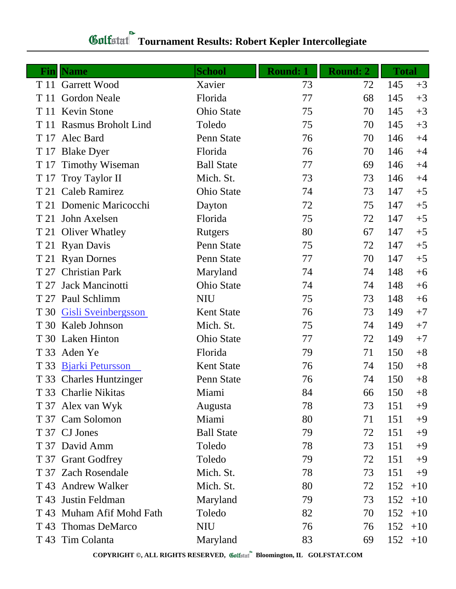## **Gulfatat** Tournament Results: Robert Kepler Intercollegiate

| Finl | <b>Name</b>                | <b>School</b>     | <b>Round: 1</b> | <b>Round: 2</b> | <b>Total</b> |       |
|------|----------------------------|-------------------|-----------------|-----------------|--------------|-------|
|      | T 11 Garrett Wood          | Xavier            | 73              | 72              | 145          | $+3$  |
| T 11 | <b>Gordon Neale</b>        | Florida           | 77              | 68              | 145          | $+3$  |
|      | T 11 Kevin Stone           | Ohio State        | 75              | 70              | 145          | $+3$  |
| T 11 | <b>Rasmus Broholt Lind</b> | Toledo            | 75              | 70              | 145          | $+3$  |
| T 17 | Alec Bard                  | Penn State        | 76              | 70              | 146          | $+4$  |
| T 17 | <b>Blake Dyer</b>          | Florida           | 76              | 70              | 146          | $+4$  |
| T 17 | <b>Timothy Wiseman</b>     | <b>Ball State</b> | 77              | 69              | 146          | $+4$  |
| T 17 | Troy Taylor II             | Mich. St.         | 73              | 73              | 146          | $+4$  |
|      | T 21 Caleb Ramirez         | Ohio State        | 74              | 73              | 147          | $+5$  |
|      | T 21 Domenic Maricocchi    | Dayton            | 72              | 75              | 147          | $+5$  |
| T 21 | John Axelsen               | Florida           | 75              | 72              | 147          | $+5$  |
|      | T 21 Oliver Whatley        | <b>Rutgers</b>    | 80              | 67              | 147          | $+5$  |
|      | T 21 Ryan Davis            | Penn State        | 75              | 72              | 147          | $+5$  |
|      | T 21 Ryan Dornes           | <b>Penn State</b> | 77              | 70              | 147          | $+5$  |
| T 27 | <b>Christian Park</b>      | Maryland          | 74              | 74              | 148          | $+6$  |
| T 27 | Jack Mancinotti            | Ohio State        | 74              | 74              | 148          | $+6$  |
|      | T 27 Paul Schlimm          | <b>NIU</b>        | 75              | 73              | 148          | $+6$  |
| T 30 | <b>Gisli Sveinbergsson</b> | <b>Kent State</b> | 76              | 73              | 149          | $+7$  |
|      | T 30 Kaleb Johnson         | Mich. St.         | 75              | 74              | 149          | $+7$  |
|      | T 30 Laken Hinton          | Ohio State        | 77              | 72              | 149          | $+7$  |
| T 33 | Aden Ye                    | Florida           | 79              | 71              | 150          | $+8$  |
| T 33 | <b>Bjarki Petursson</b>    | <b>Kent State</b> | 76              | 74              | 150          | $+8$  |
|      | T 33 Charles Huntzinger    | Penn State        | 76              | 74              | 150          | $+8$  |
|      | T 33 Charlie Nikitas       | Miami             | 84              | 66              | 150          | $+8$  |
| T 37 | Alex van Wyk               | Augusta           | 78              | 73              | 151          | $+9$  |
|      | T 37 Cam Solomon           | Miami             | 80              | 71              | 151          | $+9$  |
|      | T 37 CJ Jones              | <b>Ball State</b> | 79              | 72              | 151          | $+9$  |
|      | T 37 David Amm             | Toledo            | 78              | 73              | 151          | $+9$  |
| T 37 | <b>Grant Godfrey</b>       | Toledo            | 79              | 72              | 151          | $+9$  |
| T 37 | <b>Zach Rosendale</b>      | Mich. St.         | 78              | 73              | 151          | $+9$  |
| T 43 | <b>Andrew Walker</b>       | Mich. St.         | 80              | 72              | 152          | $+10$ |
| T 43 | Justin Feldman             | Maryland          | 79              | 73              | 152          | $+10$ |
| T 43 | Muham Afif Mohd Fath       | Toledo            | 82              | 70              | 152          | $+10$ |
|      | T 43 Thomas DeMarco        | <b>NIU</b>        | 76              | 76              | 152          | $+10$ |
|      | T 43 Tim Colanta           | Maryland          | 83              | 69              | 152          | $+10$ |

**COPYRIGHT ©, ALL RIGHTS RESERVED, Bloomington, IL GOLFSTAT.COM**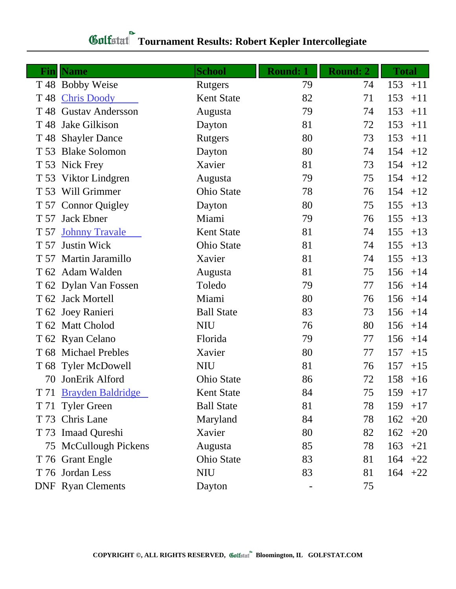## **Gulfatat** Tournament Results: Robert Kepler Intercollegiate

| Fin  | <b>Name</b>              | <b>School</b>     | <b>Round: 1</b> | <b>Round: 2</b> | <b>Total</b> |
|------|--------------------------|-------------------|-----------------|-----------------|--------------|
|      | T 48 Bobby Weise         | Rutgers           | 79              | 74              | 153<br>$+11$ |
|      | T 48 Chris Doody         | <b>Kent State</b> | 82              | 71              | 153<br>$+11$ |
|      | T 48 Gustav Andersson    | Augusta           | 79              | 74              | 153<br>$+11$ |
| T 48 | Jake Gilkison            | Dayton            | 81              | 72              | 153<br>$+11$ |
|      | T 48 Shayler Dance       | Rutgers           | 80              | 73              | 153<br>$+11$ |
| T 53 | <b>Blake Solomon</b>     | Dayton            | 80              | 74              | 154<br>$+12$ |
|      | T 53 Nick Frey           | Xavier            | 81              | 73              | 154<br>$+12$ |
|      | T 53 Viktor Lindgren     | Augusta           | 79              | 75              | 154<br>$+12$ |
|      | T 53 Will Grimmer        | <b>Ohio State</b> | 78              | 76              | 154<br>$+12$ |
|      | T 57 Connor Quigley      | Dayton            | 80              | 75              | 155<br>$+13$ |
| T 57 | <b>Jack Ebner</b>        | Miami             | 79              | 76              | 155<br>$+13$ |
| T 57 | <b>Johnny Travale</b>    | <b>Kent State</b> | 81              | 74              | 155<br>$+13$ |
| T 57 | <b>Justin Wick</b>       | Ohio State        | 81              | 74              | 155<br>$+13$ |
| T 57 | Martin Jaramillo         | Xavier            | 81              | 74              | 155<br>$+13$ |
|      | T 62 Adam Walden         | Augusta           | 81              | 75              | 156<br>$+14$ |
|      | T 62 Dylan Van Fossen    | Toledo            | 79              | 77              | 156<br>$+14$ |
|      | T 62 Jack Mortell        | Miami             | 80              | 76              | 156<br>$+14$ |
|      | T 62 Joey Ranieri        | <b>Ball State</b> | 83              | 73              | 156<br>$+14$ |
|      | T 62 Matt Cholod         | <b>NIU</b>        | 76              | 80              | 156<br>$+14$ |
|      | T 62 Ryan Celano         | Florida           | 79              | 77              | 156<br>$+14$ |
|      | T 68 Michael Prebles     | Xavier            | 80              | 77              | 157<br>$+15$ |
|      | T 68 Tyler McDowell      | <b>NIU</b>        | 81              | 76              | 157<br>$+15$ |
| 70   | JonErik Alford           | <b>Ohio State</b> | 86              | 72              | 158<br>$+16$ |
|      | T 71 Brayden Baldridge   | <b>Kent State</b> | 84              | 75              | 159<br>$+17$ |
|      | T 71 Tyler Green         | <b>Ball State</b> | 81              | 78              | 159<br>$+17$ |
|      | T 73 Chris Lane          | Maryland          | 84              | 78              | 162<br>$+20$ |
|      | T 73 Imaad Qureshi       | Xavier            | 80              | 82              | 162<br>$+20$ |
|      | 75 McCullough Pickens    | Augusta           | 85              | 78              | 163<br>$+21$ |
|      | T 76 Grant Engle         | Ohio State        | 83              | 81              | 164<br>$+22$ |
|      | T 76 Jordan Less         | <b>NIU</b>        | 83              | 81              | $164 +22$    |
|      | <b>DNF</b> Ryan Clements | Dayton            |                 | 75              |              |